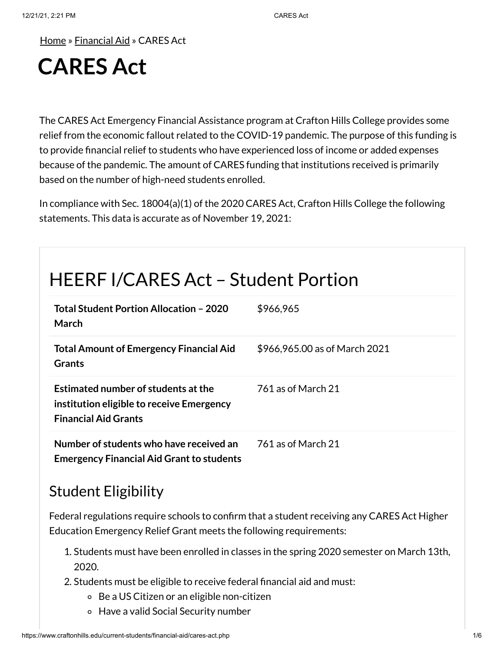[Home](https://www.craftonhills.edu/index.php) » [Financial](https://www.craftonhills.edu/current-students/financial-aid/index.php) Aid » CARES Act

# **CARES Act**

The CARES Act Emergency Financial Assistance program at Crafton Hills College provides some relief from the economic fallout related to the COVID-19 pandemic. The purpose of this funding is to provide financial relief to students who have experienced loss of income or added expenses because of the pandemic. The amount of CARES funding that institutions received is primarily based on the number of high-need students enrolled.

In compliance with Sec. 18004(a)(1) of the 2020 CARES Act, Crafton Hills College the following statements. This data is accurate as of November 19, 2021:

## HEERF I/CARES Act – Student Portion

| Total Student Portion Allocation - 2020<br>March                                                                | \$966,965                     |
|-----------------------------------------------------------------------------------------------------------------|-------------------------------|
| <b>Total Amount of Emergency Financial Aid</b><br><b>Grants</b>                                                 | \$966,965.00 as of March 2021 |
| Estimated number of students at the<br>institution eligible to receive Emergency<br><b>Financial Aid Grants</b> | 761 as of March 21            |
| Number of students who have received an<br><b>Emergency Financial Aid Grant to students</b>                     | 761 as of March 21            |

### Student Eligibility

Federal regulations require schools to confirm that a student receiving any CARES Act Higher Education Emergency Relief Grant meets the following requirements:

- 1. Students must have been enrolled in classes in the spring 2020 semester on March 13th, 2020.
- 2. Students must be eligible to receive federal financial aid and must:
	- Be a US Citizen or an eligible non-citizen
	- Have a valid Social Security number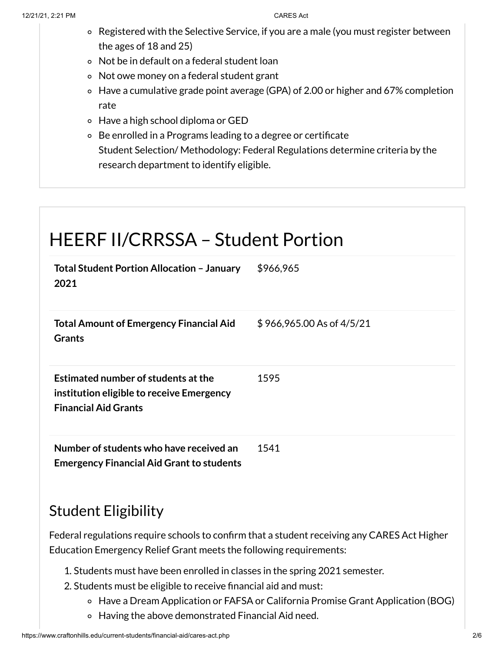- Registered with the Selective Service, if you are a male (you must register between the ages of 18 and 25)
- Not be in default on a federal student loan
- Not owe money on a federal student grant
- Have a cumulative grade point average (GPA) of 2.00 or higher and 67% completion rate
- Have a high school diploma or GED
- Be enrolled in a Programs leading to a degree or certificate Student Selection/ Methodology: Federal Regulations determine criteria by the research department to identify eligible.

### HEERF II/CRRSSA – Student Portion **Total Student Portion Allocation – January 2021** \$966,965 **Total Amount of Emergency Financial Aid Grants** \$ 966,965.00 As of 4/5/21 **Estimated number of students atthe institution eligible to receive Emergency Financial Aid Grants** 1595 **Number of students who have received an Emergency Financial Aid Grant to students** 1541

#### Student Eligibility

Federal regulations require schools to confirm that a student receiving any CARES Act Higher Education Emergency Relief Grant meets the following requirements:

- 1. Students must have been enrolled in classes in the spring 2021 semester.
- 2. Students must be eligible to receive financial aid and must:
	- Have a Dream Application or FAFSA or California Promise Grant Application (BOG)
	- Having the above demonstrated Financial Aid need.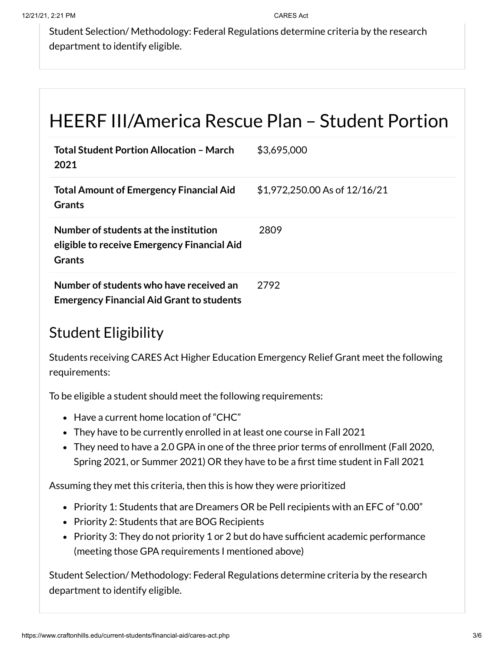Student Selection/ Methodology: Federal Regulations determine criteria by the research department to identify eligible.

## HEERF III/America Rescue Plan – Student Portion

| <b>Total Student Portion Allocation - March</b><br>2021                                        | \$3,695,000                   |
|------------------------------------------------------------------------------------------------|-------------------------------|
| <b>Total Amount of Emergency Financial Aid</b><br><b>Grants</b>                                | \$1,972,250.00 As of 12/16/21 |
| Number of students at the institution<br>eligible to receive Emergency Financial Aid<br>Grants | 2809                          |
| Number of students who have received an<br><b>Emergency Financial Aid Grant to students</b>    | 2792                          |

### Student Eligibility

Students receiving CARES Act Higher Education Emergency Relief Grant meet the following requirements:

To be eligible a student should meet the following requirements:

- Have a current home location of "CHC"
- They have to be currently enrolled in at least one course in Fall 2021
- They need to have a 2.0 GPA in one of the three prior terms of enrollment (Fall 2020, Spring 2021, or Summer 2021) OR they have to be a first time student in Fall 2021

Assuming they met this criteria, then this is how they were prioritized

- Priority 1: Students that are Dreamers OR be Pell recipients with an EFC of "0.00"
- Priority 2: Students that are BOG Recipients
- Priority 3: They do not priority 1 or 2 but do have sufficient academic performance (meeting those GPA requirements I mentioned above)

Student Selection/ Methodology: Federal Regulations determine criteria by the research department to identify eligible.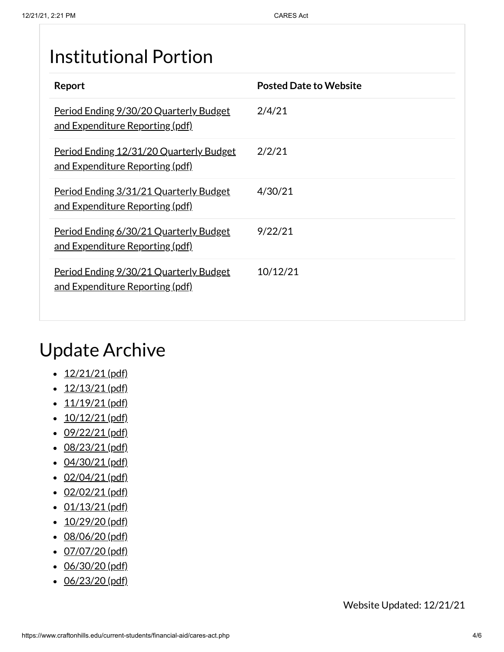## Institutional Portion

| Report                                                                                  | <b>Posted Date to Website</b> |
|-----------------------------------------------------------------------------------------|-------------------------------|
| <u>Period Ending 9/30/20 Quarterly Budget</u><br><u>and Expenditure Reporting (pdf)</u> | 2/4/21                        |
| Period Ending 12/31/20 Quarterly Budget<br><u>and Expenditure Reporting (pdf)</u>       | 2/2/21                        |
| Period Ending 3/31/21 Quarterly Budget<br><u>and Expenditure Reporting (pdf)</u>        | 4/30/21                       |
| <u>Period Ending 6/30/21 Quarterly Budget</u><br>and Expenditure Reporting (pdf)        | 9/22/21                       |
| <u>Period Ending 9/30/21 Quarterly Budget</u><br><u>and Expenditure Reporting (pdf)</u> | 10/12/21                      |

## Update Archive

- $\cdot$  [12/21/21](https://www.craftonhills.edu/current-students/financial-aid/documents/cares-act-page-12-21-21.pdf) (pdf)
- $\cdot$  [12/13/21](https://www.craftonhills.edu/current-students/financial-aid/documents/cares-act-page-12-13-21.pdf) (pdf)
- $\cdot$  [11/19/21](https://www.craftonhills.edu/current-students/financial-aid/documents/cares-act-page-11-19-21.pdf) (pdf)
- $\cdot$  [10/12/21](https://www.craftonhills.edu/current-students/financial-aid/documents/cares-act-page-10-12-21.pdf) (pdf)
- $\cdot$  [09/22/21](https://www.craftonhills.edu/current-students/financial-aid/documents/cares-act-page-9-22-21.pdf) (pdf)
- $\cdot$  [08/23/21](https://www.craftonhills.edu/current-students/financial-aid/documents/cares-act-page-8-23-21.pdf) (pdf)
- $\cdot$  [04/30/21](https://www.craftonhills.edu/current-students/financial-aid/documents/casres-act-page-4-30-21.pdf) (pdf)
- $\cdot$  [02/04/21](https://www.craftonhills.edu/current-students/financial-aid/documents/cares-act-page-2-4-21.pdf) (pdf)
- $\cdot$  [02/02/21](https://www.craftonhills.edu/current-students/financial-aid/documents/cares-act-page-2-2-21.pdf) (pdf)
- $\cdot$  [01/13/21](https://www.craftonhills.edu/current-students/financial-aid/documents/cares-act-page-1-13-21.pdf) (pdf)
- $\cdot$  [10/29/20](https://www.craftonhills.edu/current-students/financial-aid/documents/cares-act-page-10-29-20.pdf) (pdf)
- [08/06/20](https://www.craftonhills.edu/current-students/financial-aid/documents/casre-act-page-8-6-20.pdf) (pdf)
- $\cdot$  [07/07/20](https://www.craftonhills.edu/current-students/financial-aid/documents/cares-act-page-7-7-20.pdf) (pdf)
- [06/30/20](https://www.craftonhills.edu/current-students/financial-aid/documents/cares-act-page-6-30-20.pdf) (pdf)
- $\cdot$  [06/23/20](https://www.craftonhills.edu/current-students/financial-aid/documents/cares-act-page-6-23-20.pdf) (pdf)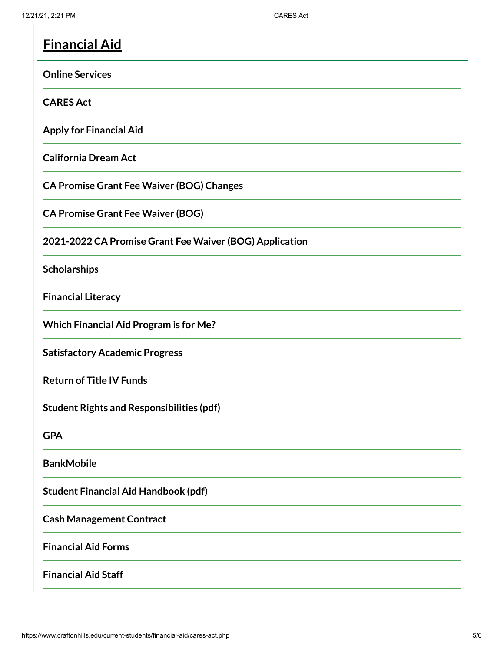| <b>Financial Aid</b>                                    |
|---------------------------------------------------------|
| <b>Online Services</b>                                  |
| <b>CARES Act</b>                                        |
| <b>Apply for Financial Aid</b>                          |
| <b>California Dream Act</b>                             |
| <b>CA Promise Grant Fee Waiver (BOG) Changes</b>        |
| <b>CA Promise Grant Fee Waiver (BOG)</b>                |
| 2021-2022 CA Promise Grant Fee Waiver (BOG) Application |
| Scholarships                                            |
| <b>Financial Literacy</b>                               |
| <b>Which Financial Aid Program is for Me?</b>           |
| <b>Satisfactory Academic Progress</b>                   |
| <b>Return of Title IV Funds</b>                         |
| <b>Student Rights and Responsibilities (pdf)</b>        |
| <b>GPA</b>                                              |
| <b>BankMobile</b>                                       |
| <b>Student Financial Aid Handbook (pdf)</b>             |
| <b>Cash Management Contract</b>                         |
| <b>Financial Aid Forms</b>                              |
| <b>Financial Aid Staff</b>                              |